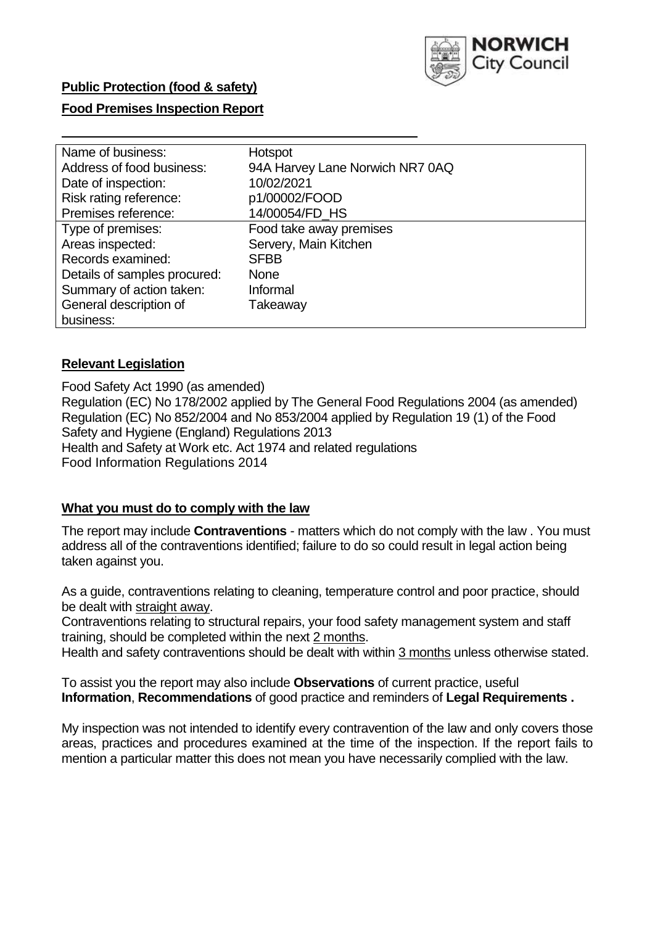

## **Food Premises Inspection Report**

| Name of business:            | Hotspot                         |
|------------------------------|---------------------------------|
| Address of food business:    | 94A Harvey Lane Norwich NR7 0AQ |
| Date of inspection:          | 10/02/2021                      |
| Risk rating reference:       | p1/00002/FOOD                   |
| Premises reference:          | 14/00054/FD HS                  |
| Type of premises:            | Food take away premises         |
| Areas inspected:             | Servery, Main Kitchen           |
| Records examined:            | <b>SFBB</b>                     |
| Details of samples procured: | <b>None</b>                     |
| Summary of action taken:     | Informal                        |
| General description of       | Takeaway                        |
| business:                    |                                 |

## **Relevant Legislation**

 Food Safety Act 1990 (as amended) Regulation (EC) No 178/2002 applied by The General Food Regulations 2004 (as amended) Regulation (EC) No 852/2004 and No 853/2004 applied by Regulation 19 (1) of the Food Safety and Hygiene (England) Regulations 2013 Health and Safety at Work etc. Act 1974 and related regulations Food Information Regulations 2014

### **What you must do to comply with the law**

 The report may include **Contraventions** - matters which do not comply with the law . You must address all of the contraventions identified; failure to do so could result in legal action being taken against you.

 As a guide, contraventions relating to cleaning, temperature control and poor practice, should be dealt with straight away.

 Contraventions relating to structural repairs, your food safety management system and staff training, should be completed within the next 2 months.

Health and safety contraventions should be dealt with within 3 months unless otherwise stated.

 To assist you the report may also include **Observations** of current practice, useful **Information**, **Recommendations** of good practice and reminders of **Legal Requirements .** 

 My inspection was not intended to identify every contravention of the law and only covers those areas, practices and procedures examined at the time of the inspection. If the report fails to mention a particular matter this does not mean you have necessarily complied with the law.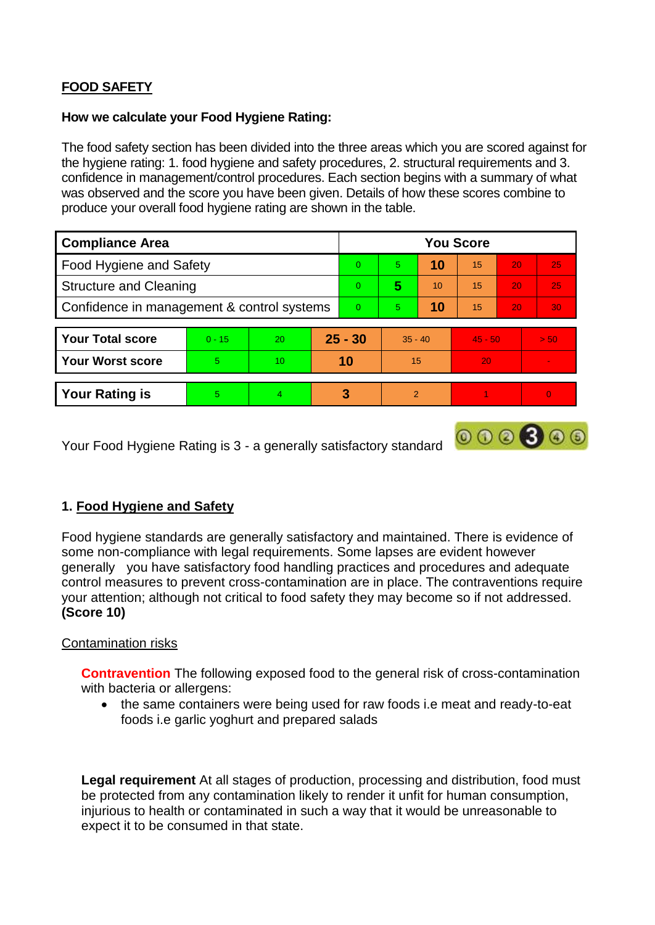# **FOOD SAFETY**

## **How we calculate your Food Hygiene Rating:**

 The food safety section has been divided into the three areas which you are scored against for the hygiene rating: 1. food hygiene and safety procedures, 2. structural requirements and 3. confidence in management/control procedures. Each section begins with a summary of what was observed and the score you have been given. Details of how these scores combine to produce your overall food hygiene rating are shown in the table.

| <b>Compliance Area</b>                     |          |                  |           | <b>You Score</b> |               |    |           |                 |          |  |  |
|--------------------------------------------|----------|------------------|-----------|------------------|---------------|----|-----------|-----------------|----------|--|--|
| Food Hygiene and Safety                    |          |                  |           | $\Omega$         | 5             | 10 | 15        | 20              | 25       |  |  |
| <b>Structure and Cleaning</b>              |          |                  | $\Omega$  | 5                | 10            | 15 | 20        | 25              |          |  |  |
| Confidence in management & control systems |          |                  | $\Omega$  | 5                | 10            | 15 | 20        | 30 <sup>°</sup> |          |  |  |
|                                            |          |                  |           |                  |               |    |           |                 |          |  |  |
| <b>Your Total score</b>                    | $0 - 15$ | 20               | $25 - 30$ |                  | $35 - 40$     |    | $45 - 50$ |                 | > 50     |  |  |
| <b>Your Worst score</b>                    | 5        | 10 <sup>10</sup> | 10        |                  | 15            |    | 20        |                 |          |  |  |
|                                            |          |                  |           |                  |               |    |           |                 |          |  |  |
| <b>Your Rating is</b>                      | 5        | $\overline{4}$   | 3         |                  | $\mathcal{P}$ |    |           |                 | $\Omega$ |  |  |

Your Food Hygiene Rating is 3 - a generally satisfactory standard

# **1. Food Hygiene and Safety**

 generally you have satisfactory food handling practices and procedures and adequate Food hygiene standards are generally satisfactory and maintained. There is evidence of some non-compliance with legal requirements. Some lapses are evident however control measures to prevent cross-contamination are in place. The contraventions require your attention; although not critical to food safety they may become so if not addressed. **(Score 10)** 

 $000000$ 

## Contamination risks

 **Contravention** The following exposed food to the general risk of cross-contamination with bacteria or allergens:

• the same containers were being used for raw foods i.e meat and ready-to-eat foods i.e garlic yoghurt and prepared salads

 be protected from any contamination likely to render it unfit for human consumption, injurious to health or contaminated in such a way that it would be unreasonable to **Legal requirement** At all stages of production, processing and distribution, food must expect it to be consumed in that state.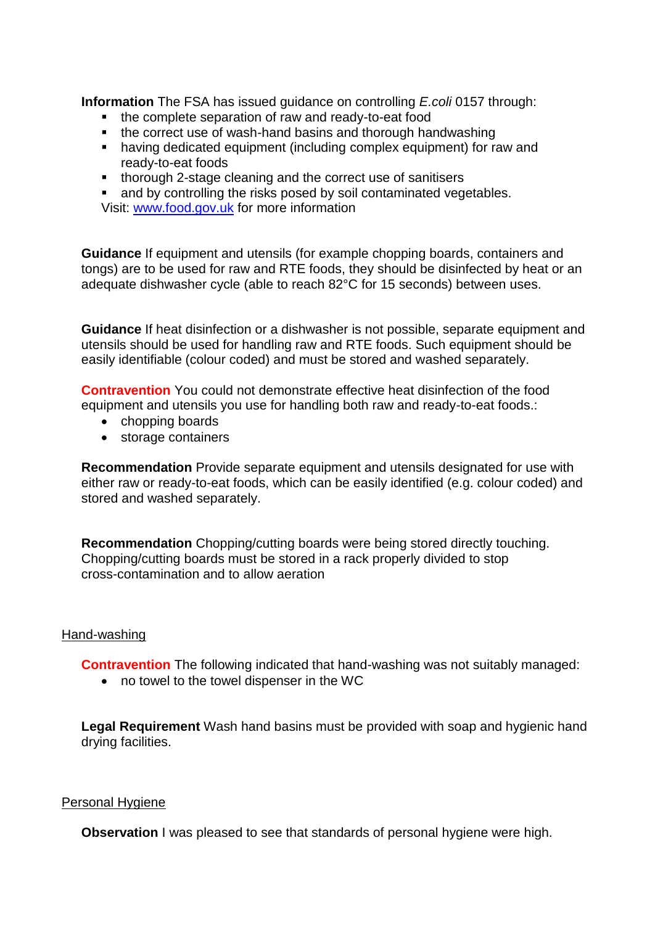**Information** The FSA has issued guidance on controlling *E.coli* 0157 through:

- the complete separation of raw and ready-to-eat food
- the correct use of wash-hand basins and thorough handwashing
- having dedicated equipment (including complex equipment) for raw and ready-to-eat foods
- thorough 2-stage cleaning and the correct use of sanitisers<br>■ and by controlling the risks posed by soil contaminated vege
- and by controlling the risks posed by soil contaminated vegetables.

Visit: [www.food.gov.uk](http://www.food.gov.uk/) for more information

**Guidance** If equipment and utensils (for example chopping boards, containers and tongs) are to be used for raw and RTE foods, they should be disinfected by heat or an adequate dishwasher cycle (able to reach 82°C for 15 seconds) between uses.

 **Guidance** If heat disinfection or a dishwasher is not possible, separate equipment and utensils should be used for handling raw and RTE foods. Such equipment should be easily identifiable (colour coded) and must be stored and washed separately.

 **Contravention** You could not demonstrate effective heat disinfection of the food equipment and utensils you use for handling both raw and ready-to-eat foods.:

- chopping boards
- storage containers

**Recommendation** Provide separate equipment and utensils designated for use with either raw or ready-to-eat foods, which can be easily identified (e.g. colour coded) and stored and washed separately.

**Recommendation** Chopping/cutting boards were being stored directly touching. Chopping/cutting boards must be stored in a rack properly divided to stop cross-contamination and to allow aeration

### Hand-washing

**Contravention** The following indicated that hand-washing was not suitably managed:

no towel to the towel dispenser in the WC

 **Legal Requirement** Wash hand basins must be provided with soap and hygienic hand drying facilities.

### Personal Hygiene

**Observation** I was pleased to see that standards of personal hygiene were high.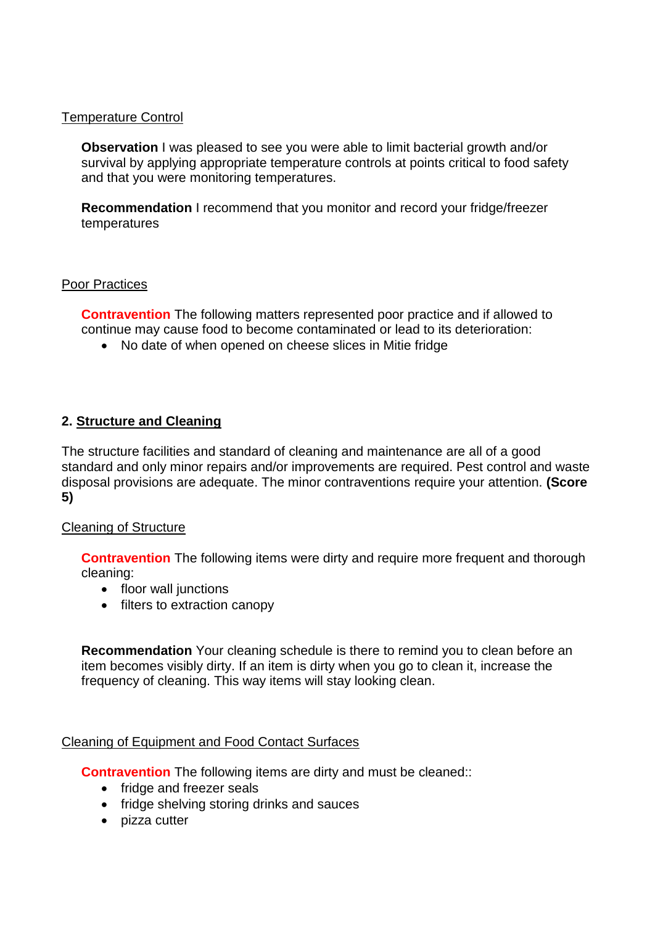## Temperature Control

 survival by applying appropriate temperature controls at points critical to food safety **Observation** I was pleased to see you were able to limit bacterial growth and/or and that you were monitoring temperatures.

**Recommendation** I recommend that you monitor and record your fridge/freezer temperatures

## Poor Practices

 **Contravention** The following matters represented poor practice and if allowed to continue may cause food to become contaminated or lead to its deterioration:

No date of when opened on cheese slices in Mitie fridge

## **2. Structure and Cleaning**

The structure facilities and standard of cleaning and maintenance are all of a good standard and only minor repairs and/or improvements are required. Pest control and waste disposal provisions are adequate. The minor contraventions require your attention. **(Score 5)** 

### Cleaning of Structure

**Contravention** The following items were dirty and require more frequent and thorough cleaning:

- floor wall junctions
- filters to extraction canopy

 **Recommendation** Your cleaning schedule is there to remind you to clean before an item becomes visibly dirty. If an item is dirty when you go to clean it, increase the frequency of cleaning. This way items will stay looking clean.

## Cleaning of Equipment and Food Contact Surfaces

**Contravention** The following items are dirty and must be cleaned::

- fridge and freezer seals
- fridge shelving storing drinks and sauces
- pizza cutter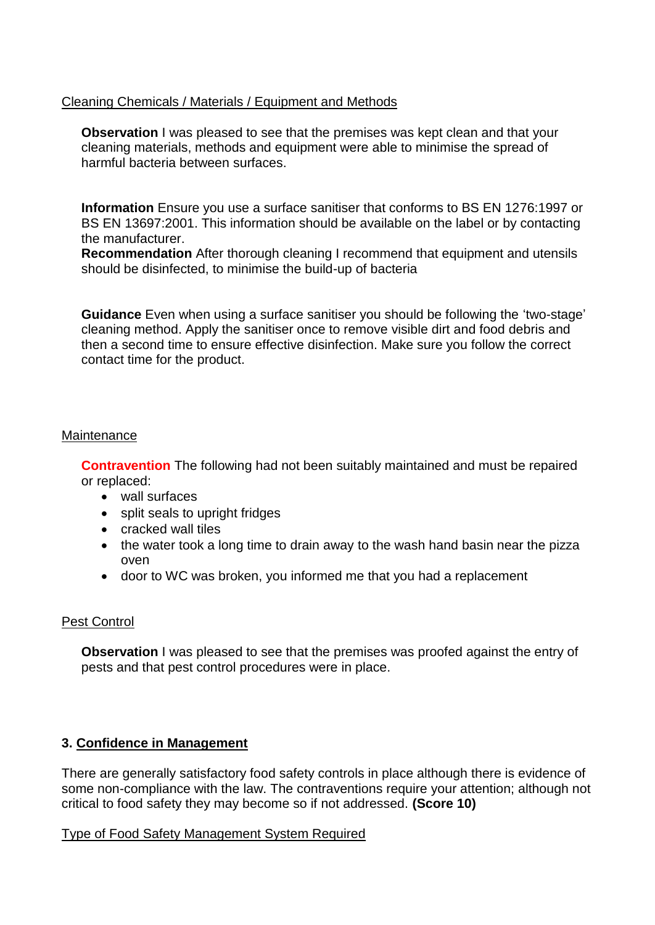## Cleaning Chemicals / Materials / Equipment and Methods

 cleaning materials, methods and equipment were able to minimise the spread of **Observation** I was pleased to see that the premises was kept clean and that your harmful bacteria between surfaces.

**Information** Ensure you use a surface sanitiser that conforms to BS EN 1276:1997 or BS EN 13697:2001. This information should be available on the label or by contacting the manufacturer.

**Recommendation** After thorough cleaning I recommend that equipment and utensils should be disinfected, to minimise the build-up of bacteria

**Guidance** Even when using a surface sanitiser you should be following the 'two-stage' cleaning method. Apply the sanitiser once to remove visible dirt and food debris and then a second time to ensure effective disinfection. Make sure you follow the correct contact time for the product.

## **Maintenance**

**Contravention** The following had not been suitably maintained and must be repaired or replaced:

- wall surfaces
- split seals to upright fridges
- cracked wall tiles
- the water took a long time to drain away to the wash hand basin near the pizza oven
- door to WC was broken, you informed me that you had a replacement

## Pest Control

**Observation** I was pleased to see that the premises was proofed against the entry of pests and that pest control procedures were in place.

## **3. Confidence in Management**

There are generally satisfactory food safety controls in place although there is evidence of some non-compliance with the law. The contraventions require your attention; although not critical to food safety they may become so if not addressed. **(Score 10)** 

### Type of Food Safety Management System Required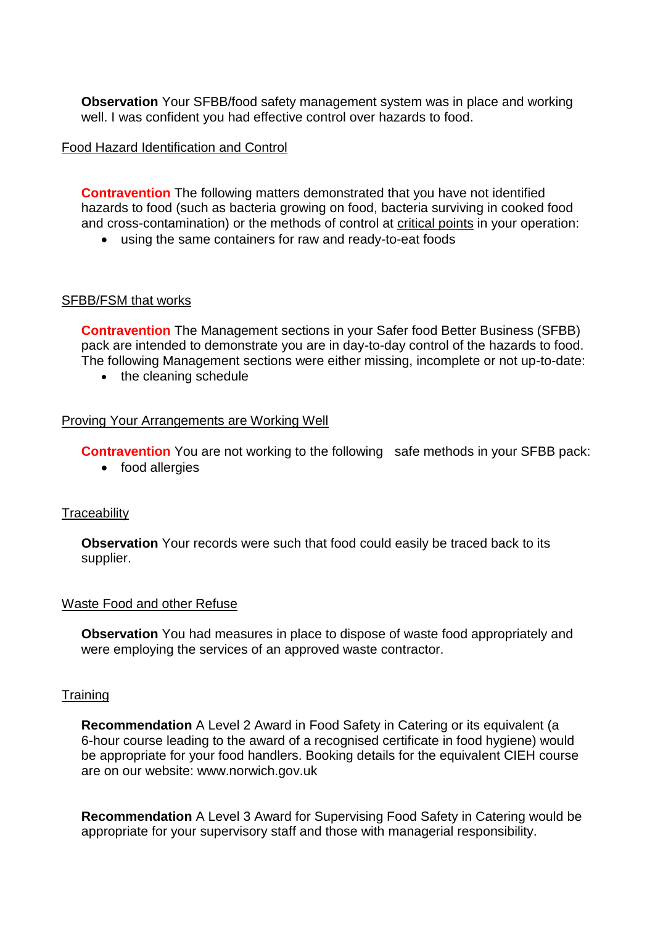well. I was confident you had effective control over hazards to food. **Observation** Your SFBB/food safety management system was in place and working

## Food Hazard Identification and Control

 hazards to food (such as bacteria growing on food, bacteria surviving in cooked food **Contravention** The following matters demonstrated that you have not identified and cross-contamination) or the methods of control at critical points in your operation:

using the same containers for raw and ready-to-eat foods

## SFBB/FSM that works

 pack are intended to demonstrate you are in day-to-day control of the hazards to food. **Contravention** The Management sections in your Safer food Better Business (SFBB) The following Management sections were either missing, incomplete or not up-to-date:

• the cleaning schedule

## Proving Your Arrangements are Working Well

**Contravention** You are not working to the following safe methods in your SFBB pack:

• food allergies

### **Traceability**

**Observation** Your records were such that food could easily be traced back to its supplier.

### Waste Food and other Refuse

 **Observation** You had measures in place to dispose of waste food appropriately and were employing the services of an approved waste contractor.

### **Training**

**Recommendation** A Level 2 Award in Food Safety in Catering or its equivalent (a 6-hour course leading to the award of a recognised certificate in food hygiene) would be appropriate for your food handlers. Booking details for the equivalent CIEH course are on our website:<www.norwich.gov.uk>

**Recommendation** A Level 3 Award for Supervising Food Safety in Catering would be appropriate for your supervisory staff and those with managerial responsibility.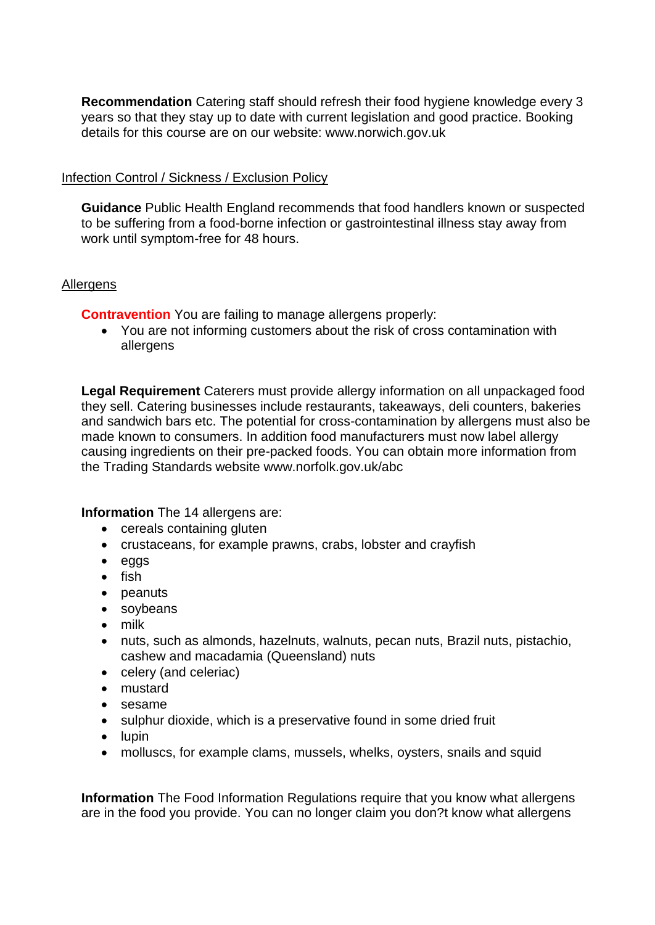**Recommendation** Catering staff should refresh their food hygiene knowledge every 3 years so that they stay up to date with current legislation and good practice. Booking details for this course are on our website:<www.norwich.gov.uk>

## Infection Control / Sickness / Exclusion Policy

 **Guidance** Public Health England recommends that food handlers known or suspected to be suffering from a food-borne infection or gastrointestinal illness stay away from work until symptom-free for 48 hours.

## Allergens

**Contravention** You are failing to manage allergens properly:

 You are not informing customers about the risk of cross contamination with allergens

 **Legal Requirement** Caterers must provide allergy information on all unpackaged food made known to consumers. In addition food manufacturers must now label allergy causing ingredients on their pre-packed foods. You can obtain more information from they sell. Catering businesses include restaurants, takeaways, deli counters, bakeries and sandwich bars etc. The potential for cross-contamination by allergens must also be the Trading Standards website <www.norfolk.gov.uk/abc>

**Information** The 14 allergens are:

- cereals containing gluten
- crustaceans, for example prawns, crabs, lobster and crayfish
- eggs
- $\bullet$  fish
- peanuts
- soybeans
- milk
- nuts, such as almonds, hazelnuts, walnuts, pecan nuts, Brazil nuts, pistachio, cashew and macadamia (Queensland) nuts
- celery (and celeriac)
- mustard
- sesame
- sulphur dioxide, which is a preservative found in some dried fruit
- $\bullet$  lupin
- molluscs, for example clams, mussels, whelks, oysters, snails and squid

**Information** The Food Information Regulations require that you know what allergens are in the food you provide. You can no longer claim you don?t know what allergens